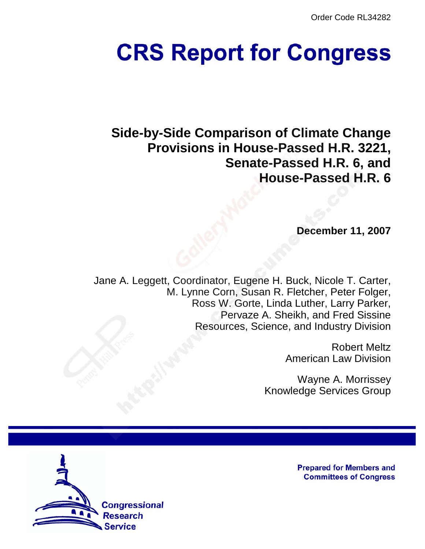Order Code RL34282

# **CRS Report for Congress**

**Side-by-Side Comparison of Climate Change Provisions in House-Passed H.R. 3221, Senate-Passed H.R. 6, and House-Passed H.R. 6**

**December 11, 2007**

Jane A. Leggett, Coordinator, Eugene H. Buck, Nicole T. Carter, M. Lynne Corn, Susan R. Fletcher, Peter Folger, Ross W. Gorte, Linda Luther, Larry Parker, Pervaze A. Sheikh, and Fred Sissine Resources, Science, and Industry Division

> Robert Meltz American Law Division

Wayne A. Morrissey Knowledge Services Group



**Prepared for Members and Committees of Congress**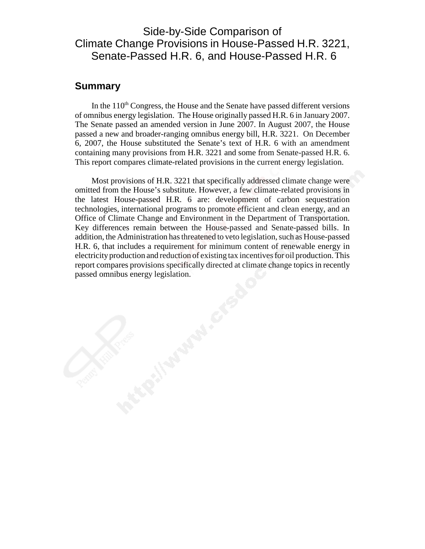# Side-by-Side Comparison of Climate Change Provisions in House-Passed H.R. 3221, Senate-Passed H.R. 6, and House-Passed H.R. 6

### **Summary**

In the  $110<sup>th</sup>$  Congress, the House and the Senate have passed different versions of omnibus energy legislation. The House originally passed H.R. 6 in January 2007. The Senate passed an amended version in June 2007. In August 2007, the House passed a new and broader-ranging omnibus energy bill, H.R. 3221. On December 6, 2007, the House substituted the Senate's text of H.R. 6 with an amendment containing many provisions from H.R. 3221 and some from Senate-passed H.R. 6. This report compares climate-related provisions in the current energy legislation.

Most provisions of H.R. 3221 that specifically addressed climate change were omitted from the House's substitute. However, a few climate-related provisions in the latest House-passed H.R. 6 are: development of carbon sequestration technologies, international programs to promote efficient and clean energy, and an Office of Climate Change and Environment in the Department of Transportation. Key differences remain between the House-passed and Senate-passed bills. In addition, the Administration has threatened to veto legislation, such as House-passed H.R. 6, that includes a requirement for minimum content of renewable energy in electricity production and reduction of existing tax incentives for oil production. This report compares provisions specifically directed at climate change topics in recently passed omnibus energy legislation.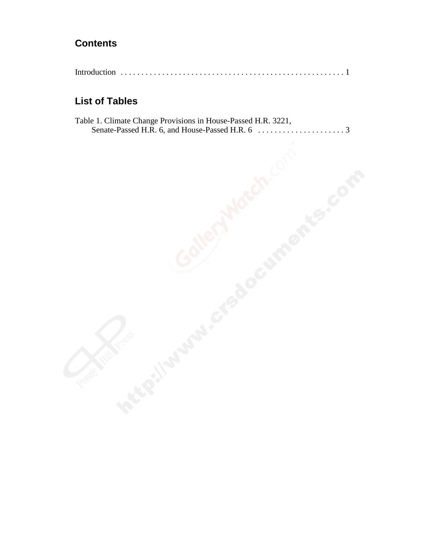# **Contents**

|--|--|--|

# **List of Tables**

| Table 1. Climate Change Provisions in House-Passed H.R. 3221, |  |
|---------------------------------------------------------------|--|
|                                                               |  |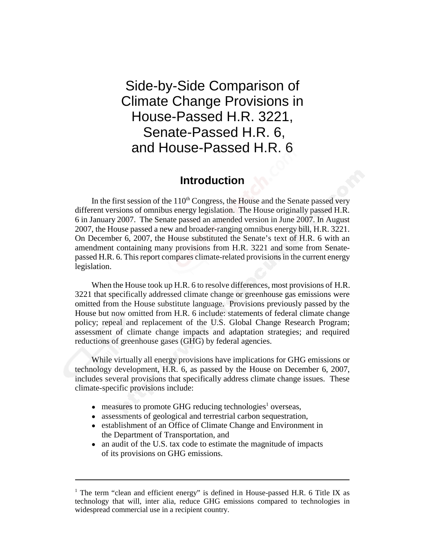# Side-by-Side Comparison of Climate Change Provisions in House-Passed H.R. 3221, Senate-Passed H.R. 6, and House-Passed H.R. 6

## **Introduction**

In the first session of the  $110<sup>th</sup>$  Congress, the House and the Senate passed very different versions of omnibus energy legislation. The House originally passed H.R. 6 in January 2007. The Senate passed an amended version in June 2007. In August 2007, the House passed a new and broader-ranging omnibus energy bill, H.R. 3221. On December 6, 2007, the House substituted the Senate's text of H.R. 6 with an amendment containing many provisions from H.R. 3221 and some from Senatepassed H.R. 6. This report compares climate-related provisions in the current energy legislation.

 When the House took up H.R. 6 to resolve differences, most provisions of H.R. 3221 that specifically addressed climate change or greenhouse gas emissions were omitted from the House substitute language. Provisions previously passed by the House but now omitted from H.R. 6 include: statements of federal climate change policy; repeal and replacement of the U.S. Global Change Research Program; assessment of climate change impacts and adaptation strategies; and required reductions of greenhouse gases (GHG) by federal agencies.

While virtually all energy provisions have implications for GHG emissions or technology development, H.R. 6, as passed by the House on December 6, 2007, includes several provisions that specifically address climate change issues. These climate-specific provisions include:

- $\bullet$  measures to promote GHG reducing technologies<sup>1</sup> overseas,
- assessments of geological and terrestrial carbon sequestration,
- establishment of an Office of Climate Change and Environment in the Department of Transportation, and
- an audit of the U.S. tax code to estimate the magnitude of impacts of its provisions on GHG emissions.

<sup>&</sup>lt;sup>1</sup> The term "clean and efficient energy" is defined in House-passed H.R. 6 Title IX as technology that will, inter alia, reduce GHG emissions compared to technologies in widespread commercial use in a recipient country.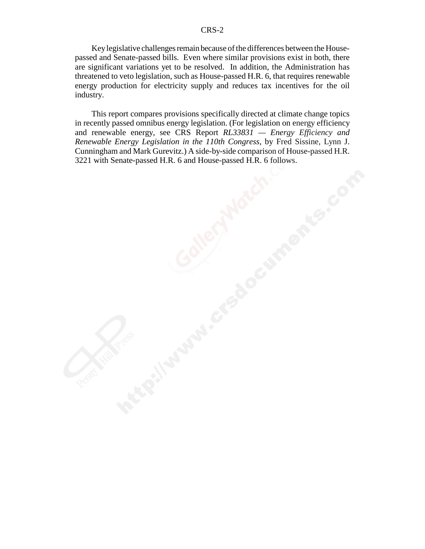Key legislative challenges remain because of the differences between the Housepassed and Senate-passed bills. Even where similar provisions exist in both, there are significant variations yet to be resolved. In addition, the Administration has threatened to veto legislation, such as House-passed H.R. 6, that requires renewable energy production for electricity supply and reduces tax incentives for the oil industry.

This report compares provisions specifically directed at climate change topics in recently passed omnibus energy legislation. (For legislation on energy efficiency and renewable energy, see CRS Report *RL33831 — Energy Efficiency and Renewable Energy Legislation in the 110th Congress*, by Fred Sissine, Lynn J. Cunningham and Mark Gurevitz.) A side-by-side comparison of House-passed H.R. 3221 with Senate-passed H.R. 6 and House-passed H.R. 6 follows.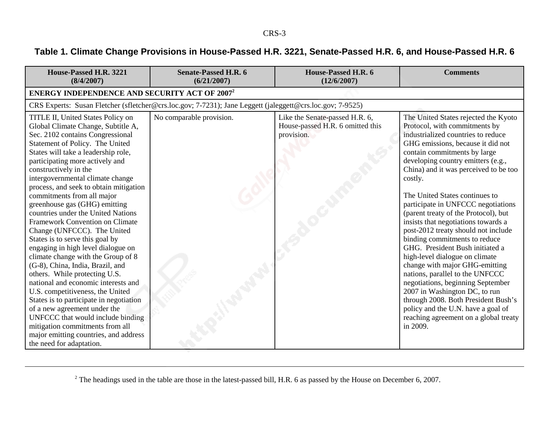# **Table 1. Climate Change Provisions in House-Passed H.R. 3221, Senate-Passed H.R. 6, and House-Passed H.R. 6**

| House-Passed H.R. 3221<br>(8/4/2007)                                                                                                                                                                                                                                                                                                                                                                                                                                                                                                                                                                                                                                                                                                                                                                                                                                                                                                                                                                 | <b>Senate-Passed H.R. 6</b><br>(6/21/2007)                                                                | House-Passed H.R. 6<br>(12/6/2007)                                               | <b>Comments</b>                                                                                                                                                                                                                                                                                                                                                                                                                                                                                                                                                                                                                                                                                                                                                                                                                                             |
|------------------------------------------------------------------------------------------------------------------------------------------------------------------------------------------------------------------------------------------------------------------------------------------------------------------------------------------------------------------------------------------------------------------------------------------------------------------------------------------------------------------------------------------------------------------------------------------------------------------------------------------------------------------------------------------------------------------------------------------------------------------------------------------------------------------------------------------------------------------------------------------------------------------------------------------------------------------------------------------------------|-----------------------------------------------------------------------------------------------------------|----------------------------------------------------------------------------------|-------------------------------------------------------------------------------------------------------------------------------------------------------------------------------------------------------------------------------------------------------------------------------------------------------------------------------------------------------------------------------------------------------------------------------------------------------------------------------------------------------------------------------------------------------------------------------------------------------------------------------------------------------------------------------------------------------------------------------------------------------------------------------------------------------------------------------------------------------------|
| <b>ENERGY INDEPENDENCE AND SECURITY ACT OF 2007<sup>2</sup></b>                                                                                                                                                                                                                                                                                                                                                                                                                                                                                                                                                                                                                                                                                                                                                                                                                                                                                                                                      |                                                                                                           |                                                                                  |                                                                                                                                                                                                                                                                                                                                                                                                                                                                                                                                                                                                                                                                                                                                                                                                                                                             |
|                                                                                                                                                                                                                                                                                                                                                                                                                                                                                                                                                                                                                                                                                                                                                                                                                                                                                                                                                                                                      | CRS Experts: Susan Fletcher (sfletcher@crs.loc.gov; 7-7231); Jane Leggett (jaleggett@crs.loc.gov; 7-9525) |                                                                                  |                                                                                                                                                                                                                                                                                                                                                                                                                                                                                                                                                                                                                                                                                                                                                                                                                                                             |
| TITLE II, United States Policy on<br>Global Climate Change, Subtitle A,<br>Sec. 2102 contains Congressional<br>Statement of Policy. The United<br>States will take a leadership role,<br>participating more actively and<br>constructively in the<br>intergovernmental climate change<br>process, and seek to obtain mitigation<br>commitments from all major<br>greenhouse gas (GHG) emitting<br>countries under the United Nations<br><b>Framework Convention on Climate</b><br>Change (UNFCCC). The United<br>States is to serve this goal by<br>engaging in high level dialogue on<br>climate change with the Group of 8<br>(G-8), China, India, Brazil, and<br>others. While protecting U.S.<br>national and economic interests and<br>U.S. competitiveness, the United<br>States is to participate in negotiation<br>of a new agreement under the<br>UNFCCC that would include binding<br>mitigation commitments from all<br>major emitting countries, and address<br>the need for adaptation. | No comparable provision.                                                                                  | Like the Senate-passed H.R. 6,<br>House-passed H.R. 6 omitted this<br>provision. | The United States rejected the Kyoto<br>Protocol, with commitments by<br>industrialized countries to reduce<br>GHG emissions, because it did not<br>contain commitments by large<br>developing country emitters (e.g.,<br>China) and it was perceived to be too<br>costly.<br>The United States continues to<br>participate in UNFCCC negotiations<br>(parent treaty of the Protocol), but<br>insists that negotiations towards a<br>post-2012 treaty should not include<br>binding commitments to reduce<br>GHG. President Bush initiated a<br>high-level dialogue on climate<br>change with major GHG-emitting<br>nations, parallel to the UNFCCC<br>negotiations, beginning September<br>2007 in Washington DC, to run<br>through 2008. Both President Bush's<br>policy and the U.N. have a goal of<br>reaching agreement on a global treaty<br>in 2009. |

 $2$  The headings used in the table are those in the latest-passed bill, H.R. 6 as passed by the House on December 6, 2007.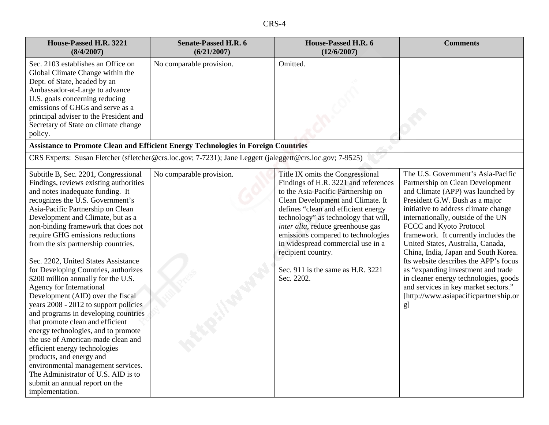|--|

| House-Passed H.R. 3221<br>(8/4/2007)                                                                                                                                                                                                                                                                                                                                                                                                                                                                                                                                                                                                                                                                                                                                                                                                                                                                                                              | <b>Senate-Passed H.R. 6</b><br>(6/21/2007)                                                                | House-Passed H.R. 6<br>(12/6/2007)                                                                                                                                                                                                                                                                                                                                                                                          | <b>Comments</b>                                                                                                                                                                                                                                                                                                                                                                                                                                                                                                                                                                            |
|---------------------------------------------------------------------------------------------------------------------------------------------------------------------------------------------------------------------------------------------------------------------------------------------------------------------------------------------------------------------------------------------------------------------------------------------------------------------------------------------------------------------------------------------------------------------------------------------------------------------------------------------------------------------------------------------------------------------------------------------------------------------------------------------------------------------------------------------------------------------------------------------------------------------------------------------------|-----------------------------------------------------------------------------------------------------------|-----------------------------------------------------------------------------------------------------------------------------------------------------------------------------------------------------------------------------------------------------------------------------------------------------------------------------------------------------------------------------------------------------------------------------|--------------------------------------------------------------------------------------------------------------------------------------------------------------------------------------------------------------------------------------------------------------------------------------------------------------------------------------------------------------------------------------------------------------------------------------------------------------------------------------------------------------------------------------------------------------------------------------------|
| Sec. 2103 establishes an Office on<br>Global Climate Change within the<br>Dept. of State, headed by an<br>Ambassador-at-Large to advance<br>U.S. goals concerning reducing<br>emissions of GHGs and serve as a<br>principal adviser to the President and<br>Secretary of State on climate change<br>policy.                                                                                                                                                                                                                                                                                                                                                                                                                                                                                                                                                                                                                                       | No comparable provision.                                                                                  | Omitted.                                                                                                                                                                                                                                                                                                                                                                                                                    |                                                                                                                                                                                                                                                                                                                                                                                                                                                                                                                                                                                            |
|                                                                                                                                                                                                                                                                                                                                                                                                                                                                                                                                                                                                                                                                                                                                                                                                                                                                                                                                                   | <b>Assistance to Promote Clean and Efficient Energy Technologies in Foreign Countries</b>                 |                                                                                                                                                                                                                                                                                                                                                                                                                             |                                                                                                                                                                                                                                                                                                                                                                                                                                                                                                                                                                                            |
|                                                                                                                                                                                                                                                                                                                                                                                                                                                                                                                                                                                                                                                                                                                                                                                                                                                                                                                                                   | CRS Experts: Susan Fletcher (sfletcher@crs.loc.gov; 7-7231); Jane Leggett (jaleggett@crs.loc.gov; 7-9525) |                                                                                                                                                                                                                                                                                                                                                                                                                             |                                                                                                                                                                                                                                                                                                                                                                                                                                                                                                                                                                                            |
| Subtitle B, Sec. 2201, Congressional<br>Findings, reviews existing authorities<br>and notes inadequate funding. It<br>recognizes the U.S. Government's<br>Asia-Pacific Partnership on Clean<br>Development and Climate, but as a<br>non-binding framework that does not<br>require GHG emissions reductions<br>from the six partnership countries.<br>Sec. 2202, United States Assistance<br>for Developing Countries, authorizes<br>\$200 million annually for the U.S.<br><b>Agency for International</b><br>Development (AID) over the fiscal<br>years 2008 - 2012 to support policies<br>and programs in developing countries<br>that promote clean and efficient<br>energy technologies, and to promote<br>the use of American-made clean and<br>efficient energy technologies<br>products, and energy and<br>environmental management services.<br>The Administrator of U.S. AID is to<br>submit an annual report on the<br>implementation. | No comparable provision.                                                                                  | Title IX omits the Congressional<br>Findings of H.R. 3221 and references<br>to the Asia-Pacific Partnership on<br>Clean Development and Climate. It<br>defines "clean and efficient energy<br>technology" as technology that will,<br>inter alia, reduce greenhouse gas<br>emissions compared to technologies<br>in widespread commercial use in a<br>recipient country.<br>Sec. 911 is the same as H.R. 3221<br>Sec. 2202. | The U.S. Government's Asia-Pacific<br>Partnership on Clean Development<br>and Climate (APP) was launched by<br>President G.W. Bush as a major<br>initiative to address climate change<br>internationally, outside of the UN<br>FCCC and Kyoto Protocol<br>framework. It currently includes the<br>United States, Australia, Canada,<br>China, India, Japan and South Korea.<br>Its website describes the APP's focus<br>as "expanding investment and trade<br>in cleaner energy technologies, goods<br>and services in key market sectors."<br>[http://www.asiapacificpartnership.or<br>g] |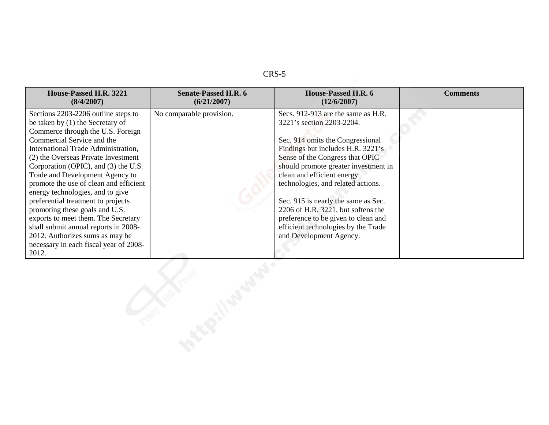| House-Passed H.R. 3221<br>(8/4/2007)                                                                                                                                                                                                                                                                                                                                                                                                                                                                                                                                                                                           | <b>Senate-Passed H.R. 6</b><br>(6/21/2007) | House-Passed H.R. 6<br>(12/6/2007)                                                                                                                                                                                                                                                                                                                                                                                                                                            | <b>Comments</b> |
|--------------------------------------------------------------------------------------------------------------------------------------------------------------------------------------------------------------------------------------------------------------------------------------------------------------------------------------------------------------------------------------------------------------------------------------------------------------------------------------------------------------------------------------------------------------------------------------------------------------------------------|--------------------------------------------|-------------------------------------------------------------------------------------------------------------------------------------------------------------------------------------------------------------------------------------------------------------------------------------------------------------------------------------------------------------------------------------------------------------------------------------------------------------------------------|-----------------|
| Sections 2203-2206 outline steps to<br>be taken by (1) the Secretary of<br>Commerce through the U.S. Foreign<br>Commercial Service and the<br>International Trade Administration,<br>(2) the Overseas Private Investment<br>Corporation (OPIC), and (3) the U.S.<br>Trade and Development Agency to<br>promote the use of clean and efficient<br>energy technologies, and to give<br>preferential treatment to projects<br>promoting these goals and U.S.<br>exports to meet them. The Secretary<br>shall submit annual reports in 2008-<br>2012. Authorizes sums as may be<br>necessary in each fiscal year of 2008-<br>2012. | No comparable provision.                   | Secs. 912-913 are the same as H.R.<br>3221's section 2203-2204.<br>Sec. 914 omits the Congressional<br>Findings but includes H.R. 3221's<br>Sense of the Congress that OPIC<br>should promote greater investment in<br>clean and efficient energy<br>technologies, and related actions.<br>Sec. 915 is nearly the same as Sec.<br>2206 of H.R. 3221, but softens the<br>preference to be given to clean and<br>efficient technologies by the Trade<br>and Development Agency. |                 |
|                                                                                                                                                                                                                                                                                                                                                                                                                                                                                                                                                                                                                                |                                            |                                                                                                                                                                                                                                                                                                                                                                                                                                                                               |                 |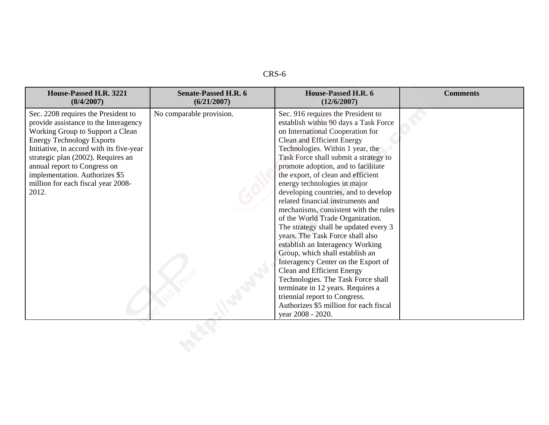| House-Passed H.R. 3221<br>(8/4/2007)                                                                                                                                                                                                                                                                                                                    | <b>Senate-Passed H.R. 6</b><br>(6/21/2007) | House-Passed H.R. 6<br>(12/6/2007)                                                                                                                                                                                                                                                                                                                                                                                                                                                                                                                                                                                                                                                                                                                                                                                                                                                                    | <b>Comments</b> |
|---------------------------------------------------------------------------------------------------------------------------------------------------------------------------------------------------------------------------------------------------------------------------------------------------------------------------------------------------------|--------------------------------------------|-------------------------------------------------------------------------------------------------------------------------------------------------------------------------------------------------------------------------------------------------------------------------------------------------------------------------------------------------------------------------------------------------------------------------------------------------------------------------------------------------------------------------------------------------------------------------------------------------------------------------------------------------------------------------------------------------------------------------------------------------------------------------------------------------------------------------------------------------------------------------------------------------------|-----------------|
| Sec. 2208 requires the President to<br>provide assistance to the Interagency<br>Working Group to Support a Clean<br><b>Energy Technology Exports</b><br>Initiative, in accord with its five-year<br>strategic plan (2002). Requires an<br>annual report to Congress on<br>implementation. Authorizes \$5<br>million for each fiscal year 2008-<br>2012. | No comparable provision.                   | Sec. 916 requires the President to<br>establish within 90 days a Task Force<br>on International Cooperation for<br>Clean and Efficient Energy<br>Technologies. Within 1 year, the<br>Task Force shall submit a strategy to<br>promote adoption, and to facilitate<br>the export, of clean and efficient<br>energy technologies in major<br>developing countries, and to develop<br>related financial instruments and<br>mechanisms, consistent with the rules<br>of the World Trade Organization.<br>The strategy shall be updated every 3<br>years. The Task Force shall also<br>establish an Interagency Working<br>Group, which shall establish an<br>Interagency Center on the Export of<br>Clean and Efficient Energy<br>Technologies. The Task Force shall<br>terminate in 12 years. Requires a<br>triennial report to Congress.<br>Authorizes \$5 million for each fiscal<br>year 2008 - 2020. |                 |
|                                                                                                                                                                                                                                                                                                                                                         |                                            |                                                                                                                                                                                                                                                                                                                                                                                                                                                                                                                                                                                                                                                                                                                                                                                                                                                                                                       |                 |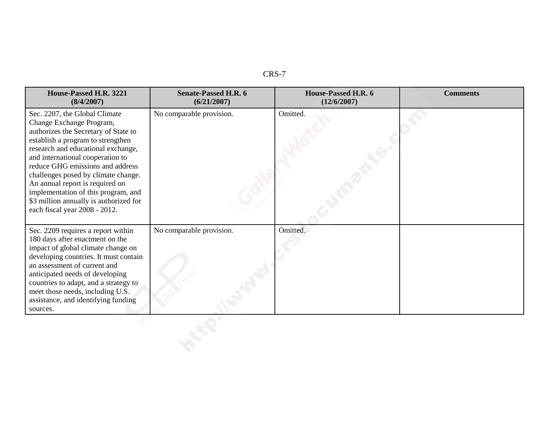|--|

| House-Passed H.R. 3221<br>(8/4/2007)                                                                                                                                                                                                                                                                                                                                                                                                             | <b>Senate-Passed H.R. 6</b><br>(6/21/2007) | House-Passed H.R. 6<br>(12/6/2007) | <b>Comments</b> |
|--------------------------------------------------------------------------------------------------------------------------------------------------------------------------------------------------------------------------------------------------------------------------------------------------------------------------------------------------------------------------------------------------------------------------------------------------|--------------------------------------------|------------------------------------|-----------------|
| Sec. 2207, the Global Climate<br>Change Exchange Program,<br>authorizes the Secretary of State to<br>establish a program to strengthen<br>research and educational exchange,<br>and international cooperation to<br>reduce GHG emissions and address<br>challenges posed by climate change.<br>An annual report is required on<br>implementation of this program, and<br>\$3 million annually is authorized for<br>each fiscal year 2008 - 2012. | No comparable provision.                   | Omitted.                           |                 |
| Sec. 2209 requires a report within<br>180 days after enactment on the<br>impact of global climate change on<br>developing countries. It must contain<br>an assessment of current and<br>anticipated needs of developing<br>countries to adapt, and a strategy to<br>meet those needs, including U.S.<br>assistance, and identifying funding<br>sources.                                                                                          | No comparable provision.                   | Omitted.                           |                 |
|                                                                                                                                                                                                                                                                                                                                                                                                                                                  |                                            |                                    |                 |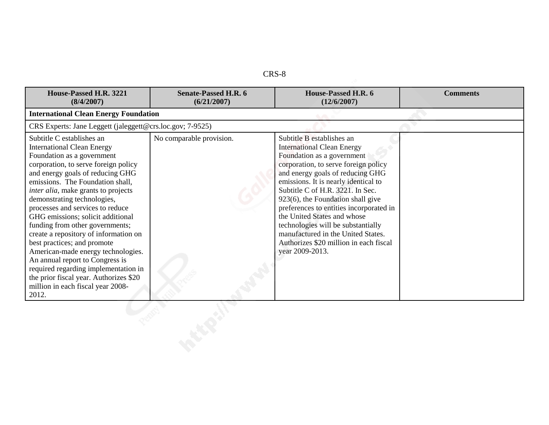| House-Passed H.R. 3221<br>(8/4/2007)                                                                                                                                                                                                                                                                                                                                                                                                                                                                                                                                                                                                                                                    | <b>Senate-Passed H.R. 6</b><br>(6/21/2007) | House-Passed H.R. 6<br>(12/6/2007)                                                                                                                                                                                                                                                                                                                                                                                                                                                                           | <b>Comments</b> |
|-----------------------------------------------------------------------------------------------------------------------------------------------------------------------------------------------------------------------------------------------------------------------------------------------------------------------------------------------------------------------------------------------------------------------------------------------------------------------------------------------------------------------------------------------------------------------------------------------------------------------------------------------------------------------------------------|--------------------------------------------|--------------------------------------------------------------------------------------------------------------------------------------------------------------------------------------------------------------------------------------------------------------------------------------------------------------------------------------------------------------------------------------------------------------------------------------------------------------------------------------------------------------|-----------------|
| <b>International Clean Energy Foundation</b>                                                                                                                                                                                                                                                                                                                                                                                                                                                                                                                                                                                                                                            |                                            |                                                                                                                                                                                                                                                                                                                                                                                                                                                                                                              |                 |
| CRS Experts: Jane Leggett (jaleggett@crs.loc.gov; 7-9525)                                                                                                                                                                                                                                                                                                                                                                                                                                                                                                                                                                                                                               |                                            |                                                                                                                                                                                                                                                                                                                                                                                                                                                                                                              |                 |
| Subtitle C establishes an<br><b>International Clean Energy</b><br>Foundation as a government<br>corporation, to serve foreign policy<br>and energy goals of reducing GHG<br>emissions. The Foundation shall,<br><i>inter alia</i> , make grants to projects<br>demonstrating technologies,<br>processes and services to reduce<br>GHG emissions; solicit additional<br>funding from other governments;<br>create a repository of information on<br>best practices; and promote<br>American-made energy technologies.<br>An annual report to Congress is<br>required regarding implementation in<br>the prior fiscal year. Authorizes \$20<br>million in each fiscal year 2008-<br>2012. | No comparable provision.                   | Subtitle B establishes an<br><b>International Clean Energy</b><br>Foundation as a government<br>corporation, to serve foreign policy<br>and energy goals of reducing GHG<br>emissions. It is nearly identical to<br>Subtitle C of H.R. 3221. In Sec.<br>923(6), the Foundation shall give<br>preferences to entities incorporated in<br>the United States and whose<br>technologies will be substantially<br>manufactured in the United States.<br>Authorizes \$20 million in each fiscal<br>year 2009-2013. |                 |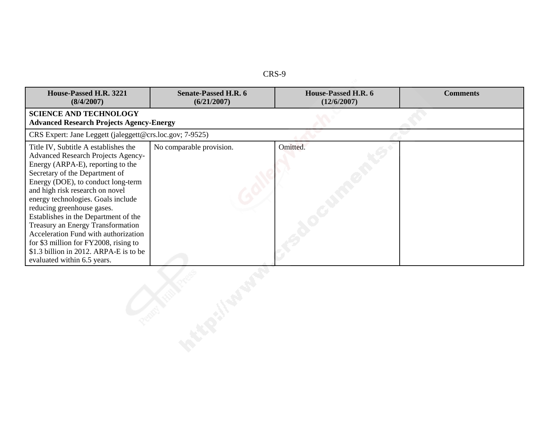| . .<br>۰.<br>٦ |  |
|----------------|--|
|----------------|--|

| House-Passed H.R. 3221<br>(8/4/2007)                                                                                                                                                                                                                                                                                                                                                                                                                                                                                                          | <b>Senate-Passed H.R. 6</b><br>(6/21/2007)      | House-Passed H.R. 6<br>(12/6/2007) | <b>Comments</b> |  |  |  |
|-----------------------------------------------------------------------------------------------------------------------------------------------------------------------------------------------------------------------------------------------------------------------------------------------------------------------------------------------------------------------------------------------------------------------------------------------------------------------------------------------------------------------------------------------|-------------------------------------------------|------------------------------------|-----------------|--|--|--|
| <b>SCIENCE AND TECHNOLOGY</b>                                                                                                                                                                                                                                                                                                                                                                                                                                                                                                                 | <b>Advanced Research Projects Agency-Energy</b> |                                    |                 |  |  |  |
| CRS Expert: Jane Leggett (jaleggett@crs.loc.gov; 7-9525)                                                                                                                                                                                                                                                                                                                                                                                                                                                                                      |                                                 |                                    |                 |  |  |  |
| Title IV, Subtitle A establishes the<br>Advanced Research Projects Agency-<br>Energy (ARPA-E), reporting to the<br>Secretary of the Department of<br>Energy (DOE), to conduct long-term<br>and high risk research on novel<br>energy technologies. Goals include<br>reducing greenhouse gases.<br>Establishes in the Department of the<br><b>Treasury an Energy Transformation</b><br>Acceleration Fund with authorization<br>for $$3$ million for FY2008, rising to<br>\$1.3 billion in 2012. ARPA-E is to be<br>evaluated within 6.5 years. | No comparable provision.                        | Omitted.                           |                 |  |  |  |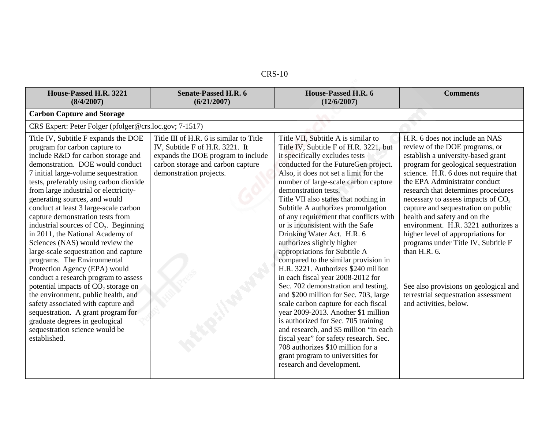| $CRS-10$ |  |
|----------|--|
|----------|--|

| <b>CIAS-TA</b>                                                                                                                                                                                                                                                                                                                                                                                                                                                                                                                                                                                                                                                                                                                                                                                                                                                                                              |                                                                                                                                                                                  |                                                                                                                                                                                                                                                                                                                                                                                                                                                                                                                                                                                                                                                                                                                                                                                                                                                                                                                                                                                                                                                 |                                                                                                                                                                                                                                                                                                                                                                                                                                                                                                                                                                                                                                           |
|-------------------------------------------------------------------------------------------------------------------------------------------------------------------------------------------------------------------------------------------------------------------------------------------------------------------------------------------------------------------------------------------------------------------------------------------------------------------------------------------------------------------------------------------------------------------------------------------------------------------------------------------------------------------------------------------------------------------------------------------------------------------------------------------------------------------------------------------------------------------------------------------------------------|----------------------------------------------------------------------------------------------------------------------------------------------------------------------------------|-------------------------------------------------------------------------------------------------------------------------------------------------------------------------------------------------------------------------------------------------------------------------------------------------------------------------------------------------------------------------------------------------------------------------------------------------------------------------------------------------------------------------------------------------------------------------------------------------------------------------------------------------------------------------------------------------------------------------------------------------------------------------------------------------------------------------------------------------------------------------------------------------------------------------------------------------------------------------------------------------------------------------------------------------|-------------------------------------------------------------------------------------------------------------------------------------------------------------------------------------------------------------------------------------------------------------------------------------------------------------------------------------------------------------------------------------------------------------------------------------------------------------------------------------------------------------------------------------------------------------------------------------------------------------------------------------------|
| House-Passed H.R. 3221<br>(8/4/2007)                                                                                                                                                                                                                                                                                                                                                                                                                                                                                                                                                                                                                                                                                                                                                                                                                                                                        | <b>Senate-Passed H.R. 6</b><br>(6/21/2007)                                                                                                                                       | House-Passed H.R. 6<br>(12/6/2007)                                                                                                                                                                                                                                                                                                                                                                                                                                                                                                                                                                                                                                                                                                                                                                                                                                                                                                                                                                                                              | <b>Comments</b>                                                                                                                                                                                                                                                                                                                                                                                                                                                                                                                                                                                                                           |
| <b>Carbon Capture and Storage</b>                                                                                                                                                                                                                                                                                                                                                                                                                                                                                                                                                                                                                                                                                                                                                                                                                                                                           |                                                                                                                                                                                  |                                                                                                                                                                                                                                                                                                                                                                                                                                                                                                                                                                                                                                                                                                                                                                                                                                                                                                                                                                                                                                                 |                                                                                                                                                                                                                                                                                                                                                                                                                                                                                                                                                                                                                                           |
| CRS Expert: Peter Folger (pfolger@crs.loc.gov; 7-1517)                                                                                                                                                                                                                                                                                                                                                                                                                                                                                                                                                                                                                                                                                                                                                                                                                                                      |                                                                                                                                                                                  |                                                                                                                                                                                                                                                                                                                                                                                                                                                                                                                                                                                                                                                                                                                                                                                                                                                                                                                                                                                                                                                 |                                                                                                                                                                                                                                                                                                                                                                                                                                                                                                                                                                                                                                           |
| Title IV, Subtitle F expands the DOE<br>program for carbon capture to<br>include R&D for carbon storage and<br>demonstration. DOE would conduct<br>7 initial large-volume sequestration<br>tests, preferably using carbon dioxide<br>from large industrial or electricity-<br>generating sources, and would<br>conduct at least 3 large-scale carbon<br>capture demonstration tests from<br>industrial sources of $CO2$ . Beginning<br>in 2011, the National Academy of<br>Sciences (NAS) would review the<br>large-scale sequestration and capture<br>programs. The Environmental<br>Protection Agency (EPA) would<br>conduct a research program to assess<br>potential impacts of $CO2$ storage on<br>the environment, public health, and<br>safety associated with capture and<br>sequestration. A grant program for<br>graduate degrees in geological<br>sequestration science would be<br>established. | Title III of H.R. 6 is similar to Title<br>IV, Subtitle F of H.R. 3221. It<br>expands the DOE program to include<br>carbon storage and carbon capture<br>demonstration projects. | Title VII, Subtitle A is similar to<br>Title IV, Subtitle F of H.R. 3221, but<br>it specifically excludes tests<br>conducted for the FutureGen project.<br>Also, it does not set a limit for the<br>number of large-scale carbon capture<br>demonstration tests.<br>Title VII also states that nothing in<br>Subtitle A authorizes promulgation<br>of any requirement that conflicts with<br>or is inconsistent with the Safe<br>Drinking Water Act. H.R. 6<br>authorizes slightly higher<br>appropriations for Subtitle A<br>compared to the similar provision in<br>H.R. 3221. Authorizes \$240 million<br>in each fiscal year 2008-2012 for<br>Sec. 702 demonstration and testing,<br>and \$200 million for Sec. 703, large<br>scale carbon capture for each fiscal<br>year 2009-2013. Another \$1 million<br>is authorized for Sec. 705 training<br>and research, and \$5 million "in each<br>fiscal year" for safety research. Sec.<br>708 authorizes \$10 million for a<br>grant program to universities for<br>research and development. | H.R. 6 does not include an NAS<br>review of the DOE programs, or<br>establish a university-based grant<br>program for geological sequestration<br>science. H.R. 6 does not require that<br>the EPA Administrator conduct<br>research that determines procedures<br>necessary to assess impacts of CO <sub>2</sub><br>capture and sequestration on public<br>health and safety and on the<br>environment. H.R. 3221 authorizes a<br>higher level of appropriations for<br>programs under Title IV, Subtitle F<br>than $H.R. 6.$<br>See also provisions on geological and<br>terrestrial sequestration assessment<br>and activities, below. |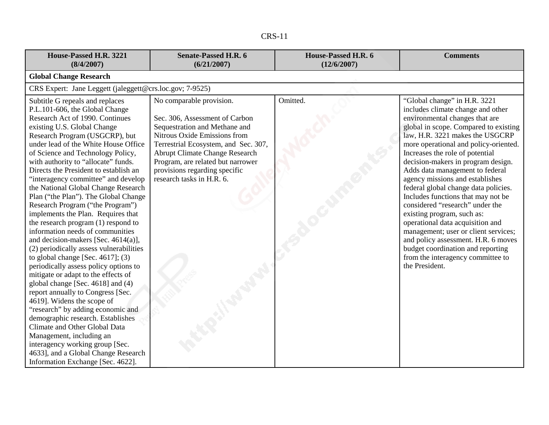| House-Passed H.R. 3221<br>(8/4/2007)                                                                                                                                                                                                                                                                                                                                                                                                                                                                                                                                                                                                                                                                                                                                                                                                                                                                                                                                                                                                                                                                                                                                                     | <b>Senate-Passed H.R. 6</b><br>(6/21/2007)                                                                                                                                                                                                                                                                      | House-Passed H.R. 6<br>(12/6/2007) | <b>Comments</b>                                                                                                                                                                                                                                                                                                                                                                                                                                                                                                                                                                                                                                                                                                                       |
|------------------------------------------------------------------------------------------------------------------------------------------------------------------------------------------------------------------------------------------------------------------------------------------------------------------------------------------------------------------------------------------------------------------------------------------------------------------------------------------------------------------------------------------------------------------------------------------------------------------------------------------------------------------------------------------------------------------------------------------------------------------------------------------------------------------------------------------------------------------------------------------------------------------------------------------------------------------------------------------------------------------------------------------------------------------------------------------------------------------------------------------------------------------------------------------|-----------------------------------------------------------------------------------------------------------------------------------------------------------------------------------------------------------------------------------------------------------------------------------------------------------------|------------------------------------|---------------------------------------------------------------------------------------------------------------------------------------------------------------------------------------------------------------------------------------------------------------------------------------------------------------------------------------------------------------------------------------------------------------------------------------------------------------------------------------------------------------------------------------------------------------------------------------------------------------------------------------------------------------------------------------------------------------------------------------|
| <b>Global Change Research</b>                                                                                                                                                                                                                                                                                                                                                                                                                                                                                                                                                                                                                                                                                                                                                                                                                                                                                                                                                                                                                                                                                                                                                            |                                                                                                                                                                                                                                                                                                                 |                                    |                                                                                                                                                                                                                                                                                                                                                                                                                                                                                                                                                                                                                                                                                                                                       |
| CRS Expert: Jane Leggett (jaleggett@crs.loc.gov; 7-9525)                                                                                                                                                                                                                                                                                                                                                                                                                                                                                                                                                                                                                                                                                                                                                                                                                                                                                                                                                                                                                                                                                                                                 |                                                                                                                                                                                                                                                                                                                 |                                    |                                                                                                                                                                                                                                                                                                                                                                                                                                                                                                                                                                                                                                                                                                                                       |
| Subtitle G repeals and replaces<br>P.L.101-606, the Global Change<br>Research Act of 1990. Continues<br>existing U.S. Global Change<br>Research Program (USGCRP), but<br>under lead of the White House Office<br>of Science and Technology Policy,<br>with authority to "allocate" funds.<br>Directs the President to establish an<br>"interagency committee" and develop<br>the National Global Change Research<br>Plan ("the Plan"). The Global Change<br>Research Program ("the Program")<br>implements the Plan. Requires that<br>the research program (1) respond to<br>information needs of communities<br>and decision-makers [Sec. $4614(a)$ ],<br>(2) periodically assess vulnerabilities<br>to global change [Sec. $4617$ ]; (3)<br>periodically assess policy options to<br>mitigate or adapt to the effects of<br>global change [Sec. 4618] and (4)<br>report annually to Congress [Sec.<br>4619]. Widens the scope of<br>"research" by adding economic and<br>demographic research. Establishes<br>Climate and Other Global Data<br>Management, including an<br>interagency working group [Sec.<br>4633], and a Global Change Research<br>Information Exchange [Sec. 4622]. | No comparable provision.<br>Sec. 306, Assessment of Carbon<br>Sequestration and Methane and<br>Nitrous Oxide Emissions from<br>Terrestrial Ecosystem, and Sec. 307,<br><b>Abrupt Climate Change Research</b><br>Program, are related but narrower<br>provisions regarding specific<br>research tasks in H.R. 6. | Omitted.                           | "Global change" in H.R. 3221<br>includes climate change and other<br>environmental changes that are<br>global in scope. Compared to existing<br>law, H.R. 3221 makes the USGCRP<br>more operational and policy-oriented.<br>Increases the role of potential<br>decision-makers in program design.<br>Adds data management to federal<br>agency missions and establishes<br>federal global change data policies.<br>Includes functions that may not be<br>considered "research" under the<br>existing program, such as:<br>operational data acquisition and<br>management; user or client services;<br>and policy assessment. H.R. 6 moves<br>budget coordination and reporting<br>from the interagency committee to<br>the President. |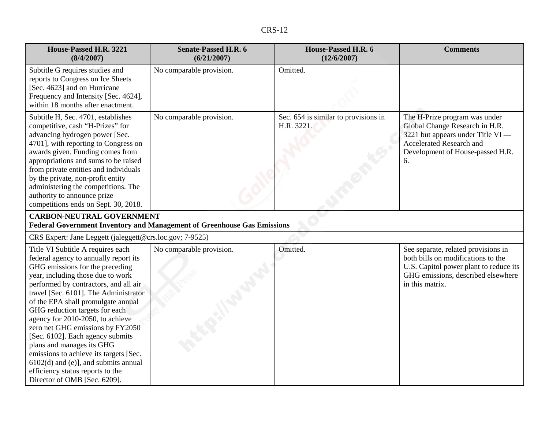| n<br>$\cdot$ |  |
|--------------|--|
|--------------|--|

| House-Passed H.R. 3221<br>(8/4/2007)                                                                                                                                                                                                                                                                                                                                                                                                                                                                                                                                                                          | <b>Senate-Passed H.R. 6</b><br>(6/21/2007)                              | House-Passed H.R. 6<br>(12/6/2007)                 | <b>Comments</b>                                                                                                                                                              |
|---------------------------------------------------------------------------------------------------------------------------------------------------------------------------------------------------------------------------------------------------------------------------------------------------------------------------------------------------------------------------------------------------------------------------------------------------------------------------------------------------------------------------------------------------------------------------------------------------------------|-------------------------------------------------------------------------|----------------------------------------------------|------------------------------------------------------------------------------------------------------------------------------------------------------------------------------|
| Subtitle G requires studies and<br>reports to Congress on Ice Sheets<br>[Sec. 4623] and on Hurricane<br>Frequency and Intensity [Sec. 4624],<br>within 18 months after enactment.                                                                                                                                                                                                                                                                                                                                                                                                                             | No comparable provision.                                                | Omitted.                                           |                                                                                                                                                                              |
| Subtitle H, Sec. 4701, establishes<br>competitive, cash "H-Prizes" for<br>advancing hydrogen power [Sec.<br>4701], with reporting to Congress on<br>awards given. Funding comes from<br>appropriations and sums to be raised<br>from private entities and individuals<br>by the private, non-profit entity<br>administering the competitions. The<br>authority to announce prize<br>competitions ends on Sept. 30, 2018.                                                                                                                                                                                      | No comparable provision.                                                | Sec. 654 is similar to provisions in<br>H.R. 3221. | The H-Prize program was under<br>Global Change Research in H.R.<br>3221 but appears under Title VI —<br>Accelerated Research and<br>Development of House-passed H.R.<br>6.   |
| <b>CARBON-NEUTRAL GOVERNMENT</b>                                                                                                                                                                                                                                                                                                                                                                                                                                                                                                                                                                              | Federal Government Inventory and Management of Greenhouse Gas Emissions |                                                    |                                                                                                                                                                              |
| CRS Expert: Jane Leggett (jaleggett@crs.loc.gov; 7-9525)                                                                                                                                                                                                                                                                                                                                                                                                                                                                                                                                                      |                                                                         |                                                    |                                                                                                                                                                              |
| Title VI Subtitle A requires each<br>federal agency to annually report its<br>GHG emissions for the preceding<br>year, including those due to work<br>performed by contractors, and all air<br>travel [Sec. 6101]. The Administrator<br>of the EPA shall promulgate annual<br>GHG reduction targets for each<br>agency for 2010-2050, to achieve<br>zero net GHG emissions by FY2050<br>[Sec. 6102]. Each agency submits<br>plans and manages its GHG<br>emissions to achieve its targets [Sec.<br>$6102(d)$ and (e)], and submits annual<br>efficiency status reports to the<br>Director of OMB [Sec. 6209]. | No comparable provision.                                                | Omitted.                                           | See separate, related provisions in<br>both bills on modifications to the<br>U.S. Capitol power plant to reduce its<br>GHG emissions, described elsewhere<br>in this matrix. |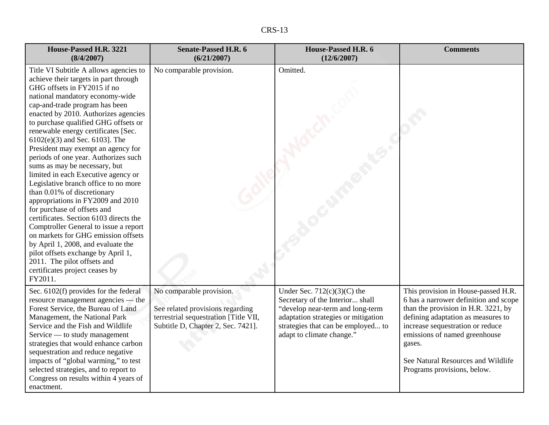| n.<br>ъ.<br>n.<br>∖ ⊾ |  |
|-----------------------|--|
|-----------------------|--|

| House-Passed H.R. 3221<br>(8/4/2007)                                                                                                                                                                                                                                                                                                                                                                                                                                                                                                                                                                                                                                                                                                                                                                                                                                                                                              | <b>Senate-Passed H.R. 6</b><br>(6/21/2007)                                                                                                  | House-Passed H.R. 6<br>(12/6/2007)                                                                                                                                                                             | <b>Comments</b>                                                                                                                                                                                                                                                                                               |
|-----------------------------------------------------------------------------------------------------------------------------------------------------------------------------------------------------------------------------------------------------------------------------------------------------------------------------------------------------------------------------------------------------------------------------------------------------------------------------------------------------------------------------------------------------------------------------------------------------------------------------------------------------------------------------------------------------------------------------------------------------------------------------------------------------------------------------------------------------------------------------------------------------------------------------------|---------------------------------------------------------------------------------------------------------------------------------------------|----------------------------------------------------------------------------------------------------------------------------------------------------------------------------------------------------------------|---------------------------------------------------------------------------------------------------------------------------------------------------------------------------------------------------------------------------------------------------------------------------------------------------------------|
| Title VI Subtitle A allows agencies to<br>achieve their targets in part through<br>GHG offsets in FY2015 if no<br>national mandatory economy-wide<br>cap-and-trade program has been<br>enacted by 2010. Authorizes agencies<br>to purchase qualified GHG offsets or<br>renewable energy certificates [Sec.<br>$6102(e)(3)$ and Sec. 6103]. The<br>President may exempt an agency for<br>periods of one year. Authorizes such<br>sums as may be necessary, but<br>limited in each Executive agency or<br>Legislative branch office to no more<br>than 0.01% of discretionary<br>appropriations in FY2009 and 2010<br>for purchase of offsets and<br>certificates. Section 6103 directs the<br>Comptroller General to issue a report<br>on markets for GHG emission offsets<br>by April 1, 2008, and evaluate the<br>pilot offsets exchange by April 1,<br>2011. The pilot offsets and<br>certificates project ceases by<br>FY2011. | No comparable provision.                                                                                                                    | Omitted.                                                                                                                                                                                                       |                                                                                                                                                                                                                                                                                                               |
| Sec. 6102(f) provides for the federal<br>resource management agencies — the<br>Forest Service, the Bureau of Land<br>Management, the National Park<br>Service and the Fish and Wildlife<br>Service — to study management<br>strategies that would enhance carbon<br>sequestration and reduce negative<br>impacts of "global warming," to test<br>selected strategies, and to report to<br>Congress on results within 4 years of<br>enactment.                                                                                                                                                                                                                                                                                                                                                                                                                                                                                     | No comparable provision.<br>See related provisions regarding<br>terrestrial sequestration [Title VII,<br>Subtitle D, Chapter 2, Sec. 7421]. | Under Sec. $712(c)(3)(C)$ the<br>Secretary of the Interior shall<br>"develop near-term and long-term<br>adaptation strategies or mitigation<br>strategies that can be employed to<br>adapt to climate change." | This provision in House-passed H.R.<br>6 has a narrower definition and scope<br>than the provision in H.R. 3221, by<br>defining adaptation as measures to<br>increase sequestration or reduce<br>emissions of named greenhouse<br>gases.<br>See Natural Resources and Wildlife<br>Programs provisions, below. |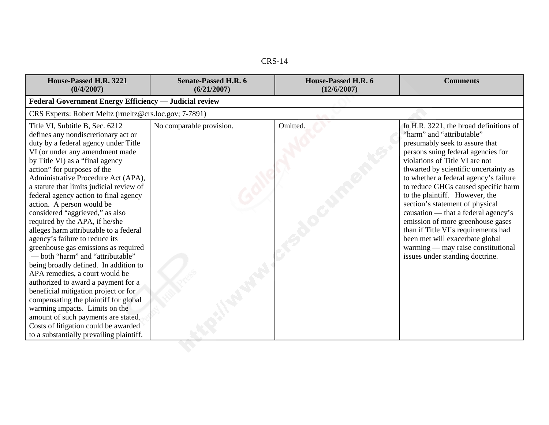| House-Passed H.R. 3221<br>(8/4/2007)                                                                                                                                                                                                                                                                                                                                                                                                                                                                                                                                                                                                                                                                                                                                                                                                                                                                                                                                      | <b>Senate-Passed H.R. 6</b><br>(6/21/2007) | House-Passed H.R. 6<br>(12/6/2007) | <b>Comments</b>                                                                                                                                                                                                                                                                                                                                                                                                                                                                                                                                                                                            |
|---------------------------------------------------------------------------------------------------------------------------------------------------------------------------------------------------------------------------------------------------------------------------------------------------------------------------------------------------------------------------------------------------------------------------------------------------------------------------------------------------------------------------------------------------------------------------------------------------------------------------------------------------------------------------------------------------------------------------------------------------------------------------------------------------------------------------------------------------------------------------------------------------------------------------------------------------------------------------|--------------------------------------------|------------------------------------|------------------------------------------------------------------------------------------------------------------------------------------------------------------------------------------------------------------------------------------------------------------------------------------------------------------------------------------------------------------------------------------------------------------------------------------------------------------------------------------------------------------------------------------------------------------------------------------------------------|
| <b>Federal Government Energy Efficiency — Judicial review</b>                                                                                                                                                                                                                                                                                                                                                                                                                                                                                                                                                                                                                                                                                                                                                                                                                                                                                                             |                                            |                                    |                                                                                                                                                                                                                                                                                                                                                                                                                                                                                                                                                                                                            |
| CRS Experts: Robert Meltz (rmeltz@crs.loc.gov; 7-7891)                                                                                                                                                                                                                                                                                                                                                                                                                                                                                                                                                                                                                                                                                                                                                                                                                                                                                                                    |                                            |                                    |                                                                                                                                                                                                                                                                                                                                                                                                                                                                                                                                                                                                            |
| Title VI, Subtitle B, Sec. 6212<br>defines any nondiscretionary act or<br>duty by a federal agency under Title<br>VI (or under any amendment made<br>by Title VI) as a "final agency<br>action" for purposes of the<br>Administrative Procedure Act (APA),<br>a statute that limits judicial review of<br>federal agency action to final agency<br>action. A person would be<br>considered "aggrieved," as also<br>required by the APA, if he/she<br>alleges harm attributable to a federal<br>agency's failure to reduce its<br>greenhouse gas emissions as required<br>- both "harm" and "attributable"<br>being broadly defined. In addition to<br>APA remedies, a court would be<br>authorized to award a payment for a<br>beneficial mitigation project or for<br>compensating the plaintiff for global<br>warming impacts. Limits on the<br>amount of such payments are stated.<br>Costs of litigation could be awarded<br>to a substantially prevailing plaintiff. | No comparable provision.                   | Omitted.                           | In H.R. 3221, the broad definitions of<br>"harm" and "attributable"<br>presumably seek to assure that<br>persons suing federal agencies for<br>violations of Title VI are not<br>thwarted by scientific uncertainty as<br>to whether a federal agency's failure<br>to reduce GHGs caused specific harm<br>to the plaintiff. However, the<br>section's statement of physical<br>causation — that a federal agency's<br>emission of more greenhouse gases<br>than if Title VI's requirements had<br>been met will exacerbate global<br>warming — may raise constitutional<br>issues under standing doctrine. |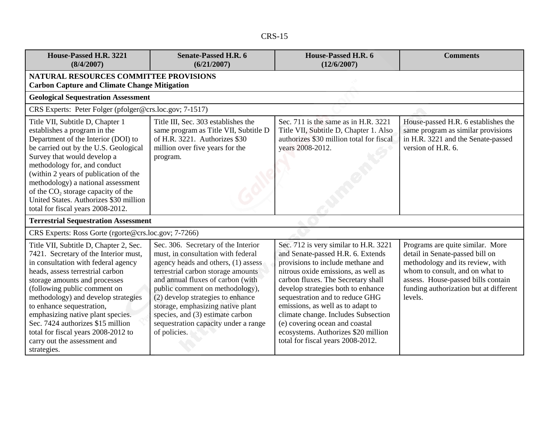| n<br>٦ |
|--------|
|--------|

| House-Passed H.R. 3221<br>(8/4/2007)                                                                                                                                                                                                                                                                                                                                                                                                                            | <b>Senate-Passed H.R. 6</b><br>(6/21/2007)                                                                                                                                                                                                                                                                                                                                                           | House-Passed H.R. 6<br>(12/6/2007)                                                                                                                                                                                                                                                                                                                                                                                                                              | <b>Comments</b>                                                                                                                                                                                                                       |
|-----------------------------------------------------------------------------------------------------------------------------------------------------------------------------------------------------------------------------------------------------------------------------------------------------------------------------------------------------------------------------------------------------------------------------------------------------------------|------------------------------------------------------------------------------------------------------------------------------------------------------------------------------------------------------------------------------------------------------------------------------------------------------------------------------------------------------------------------------------------------------|-----------------------------------------------------------------------------------------------------------------------------------------------------------------------------------------------------------------------------------------------------------------------------------------------------------------------------------------------------------------------------------------------------------------------------------------------------------------|---------------------------------------------------------------------------------------------------------------------------------------------------------------------------------------------------------------------------------------|
| <b>NATURAL RESOURCES COMMITTEE PROVISIONS</b><br><b>Carbon Capture and Climate Change Mitigation</b>                                                                                                                                                                                                                                                                                                                                                            |                                                                                                                                                                                                                                                                                                                                                                                                      |                                                                                                                                                                                                                                                                                                                                                                                                                                                                 |                                                                                                                                                                                                                                       |
| <b>Geological Sequestration Assessment</b>                                                                                                                                                                                                                                                                                                                                                                                                                      |                                                                                                                                                                                                                                                                                                                                                                                                      |                                                                                                                                                                                                                                                                                                                                                                                                                                                                 |                                                                                                                                                                                                                                       |
| CRS Experts: Peter Folger (pfolger@crs.loc.gov; 7-1517)                                                                                                                                                                                                                                                                                                                                                                                                         |                                                                                                                                                                                                                                                                                                                                                                                                      |                                                                                                                                                                                                                                                                                                                                                                                                                                                                 |                                                                                                                                                                                                                                       |
| Title VII, Subtitle D, Chapter 1<br>establishes a program in the<br>Department of the Interior (DOI) to<br>be carried out by the U.S. Geological<br>Survey that would develop a<br>methodology for, and conduct<br>(within 2 years of publication of the<br>methodology) a national assessment<br>of the CO <sub>2</sub> storage capacity of the<br>United States. Authorizes \$30 million<br>total for fiscal years 2008-2012.                                 | Title III, Sec. 303 establishes the<br>same program as Title VII, Subtitle D<br>of H.R. 3221. Authorizes \$30<br>million over five years for the<br>program.                                                                                                                                                                                                                                         | Sec. 711 is the same as in H.R. 3221<br>Title VII, Subtitle D, Chapter 1. Also<br>authorizes \$30 million total for fiscal<br>years 2008-2012.                                                                                                                                                                                                                                                                                                                  | House-passed H.R. 6 establishes the<br>same program as similar provisions<br>in H.R. 3221 and the Senate-passed<br>version of H.R. 6.                                                                                                 |
| <b>Terrestrial Sequestration Assessment</b>                                                                                                                                                                                                                                                                                                                                                                                                                     |                                                                                                                                                                                                                                                                                                                                                                                                      |                                                                                                                                                                                                                                                                                                                                                                                                                                                                 |                                                                                                                                                                                                                                       |
| CRS Experts: Ross Gorte (rgorte@crs.loc.gov; 7-7266)                                                                                                                                                                                                                                                                                                                                                                                                            |                                                                                                                                                                                                                                                                                                                                                                                                      |                                                                                                                                                                                                                                                                                                                                                                                                                                                                 |                                                                                                                                                                                                                                       |
| Title VII, Subtitle D, Chapter 2, Sec.<br>7421. Secretary of the Interior must,<br>in consultation with federal agency<br>heads, assess terrestrial carbon<br>storage amounts and processes<br>(following public comment on<br>methodology) and develop strategies<br>to enhance sequestration,<br>emphasizing native plant species.<br>Sec. 7424 authorizes \$15 million<br>total for fiscal years 2008-2012 to<br>carry out the assessment and<br>strategies. | Sec. 306. Secretary of the Interior<br>must, in consultation with federal<br>agency heads and others, (1) assess<br>terrestrial carbon storage amounts<br>and annual fluxes of carbon (with<br>public comment on methodology),<br>(2) develop strategies to enhance<br>storage, emphasizing native plant<br>species, and (3) estimate carbon<br>sequestration capacity under a range<br>of policies. | Sec. 712 is very similar to H.R. 3221<br>and Senate-passed H.R. 6. Extends<br>provisions to include methane and<br>nitrous oxide emissions, as well as<br>carbon fluxes. The Secretary shall<br>develop strategies both to enhance<br>sequestration and to reduce GHG<br>emissions, as well as to adapt to<br>climate change. Includes Subsection<br>(e) covering ocean and coastal<br>ecosystems. Authorizes \$20 million<br>total for fiscal years 2008-2012. | Programs are quite similar. More<br>detail in Senate-passed bill on<br>methodology and its review, with<br>whom to consult, and on what to<br>assess. House-passed bills contain<br>funding authorization but at different<br>levels. |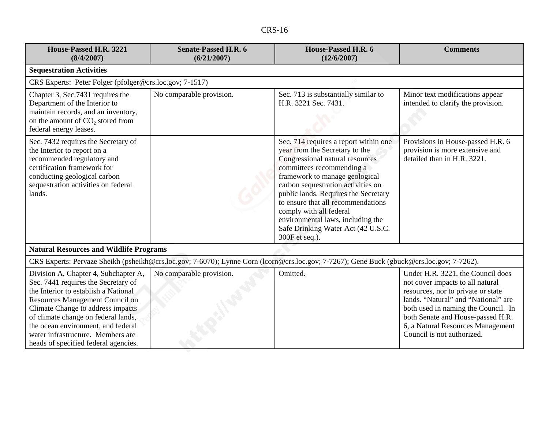| D<br>n<br>L<br>-כרע |
|---------------------|
|---------------------|

| House-Passed H.R. 3221<br>(8/4/2007)                                                                                                                                                                                                                                                                                                                  | <b>Senate-Passed H.R. 6</b><br>(6/21/2007)                                                                                                | House-Passed H.R. 6<br>(12/6/2007)                                                                                                                                                                                                                                                                                                                                                                                    | <b>Comments</b>                                                                                                                                                                                                                                                                                   |
|-------------------------------------------------------------------------------------------------------------------------------------------------------------------------------------------------------------------------------------------------------------------------------------------------------------------------------------------------------|-------------------------------------------------------------------------------------------------------------------------------------------|-----------------------------------------------------------------------------------------------------------------------------------------------------------------------------------------------------------------------------------------------------------------------------------------------------------------------------------------------------------------------------------------------------------------------|---------------------------------------------------------------------------------------------------------------------------------------------------------------------------------------------------------------------------------------------------------------------------------------------------|
| <b>Sequestration Activities</b>                                                                                                                                                                                                                                                                                                                       |                                                                                                                                           |                                                                                                                                                                                                                                                                                                                                                                                                                       |                                                                                                                                                                                                                                                                                                   |
| CRS Experts: Peter Folger (pfolger@crs.loc.gov; 7-1517)                                                                                                                                                                                                                                                                                               |                                                                                                                                           |                                                                                                                                                                                                                                                                                                                                                                                                                       |                                                                                                                                                                                                                                                                                                   |
| Chapter 3, Sec.7431 requires the<br>Department of the Interior to<br>maintain records, and an inventory,<br>on the amount of CO <sub>2</sub> stored from<br>federal energy leases.                                                                                                                                                                    | No comparable provision.                                                                                                                  | Sec. 713 is substantially similar to<br>H.R. 3221 Sec. 7431.                                                                                                                                                                                                                                                                                                                                                          | Minor text modifications appear<br>intended to clarify the provision.                                                                                                                                                                                                                             |
| Sec. 7432 requires the Secretary of<br>the Interior to report on a<br>recommended regulatory and<br>certification framework for<br>conducting geological carbon<br>sequestration activities on federal<br>lands.                                                                                                                                      |                                                                                                                                           | Sec. 714 requires a report within one<br>year from the Secretary to the<br>Congressional natural resources<br>committees recommending a<br>framework to manage geological<br>carbon sequestration activities on<br>public lands. Requires the Secretary<br>to ensure that all recommendations<br>comply with all federal<br>environmental laws, including the<br>Safe Drinking Water Act (42 U.S.C.<br>300F et seq.). | Provisions in House-passed H.R. 6<br>provision is more extensive and<br>detailed than in H.R. 3221.                                                                                                                                                                                               |
| <b>Natural Resources and Wildlife Programs</b>                                                                                                                                                                                                                                                                                                        |                                                                                                                                           |                                                                                                                                                                                                                                                                                                                                                                                                                       |                                                                                                                                                                                                                                                                                                   |
|                                                                                                                                                                                                                                                                                                                                                       | CRS Experts: Pervaze Sheikh (psheikh@crs.loc.gov; 7-6070); Lynne Corn (lcorn@crs.loc.gov; 7-7267); Gene Buck (gbuck@crs.loc.gov; 7-7262). |                                                                                                                                                                                                                                                                                                                                                                                                                       |                                                                                                                                                                                                                                                                                                   |
| Division A, Chapter 4, Subchapter A,<br>Sec. 7441 requires the Secretary of<br>the Interior to establish a National<br>Resources Management Council on<br>Climate Change to address impacts<br>of climate change on federal lands,<br>the ocean environment, and federal<br>water infrastructure. Members are<br>heads of specified federal agencies. | No comparable provision.                                                                                                                  | Omitted.                                                                                                                                                                                                                                                                                                                                                                                                              | Under H.R. 3221, the Council does<br>not cover impacts to all natural<br>resources, nor to private or state<br>lands. "Natural" and "National" are<br>both used in naming the Council. In<br>both Senate and House-passed H.R.<br>6, a Natural Resources Management<br>Council is not authorized. |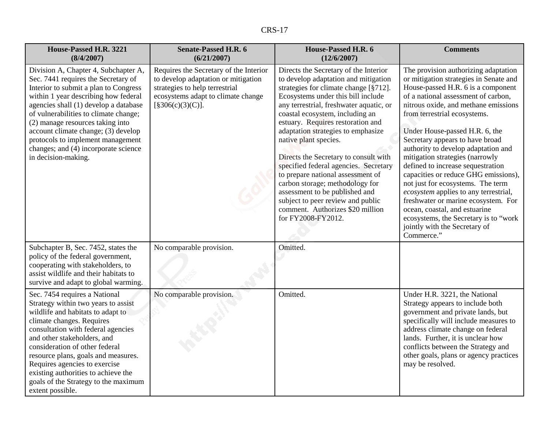|--|--|

| House-Passed H.R. 3221<br>(8/4/2007)                                                                                                                                                                                                                                                                                                                                                                                          | <b>Senate-Passed H.R. 6</b><br>(6/21/2007)                                                                                                                                | House-Passed H.R. 6<br>(12/6/2007)                                                                                                                                                                                                                                                                                                                                                                                                                                                                                                                                                                                                        | <b>Comments</b>                                                                                                                                                                                                                                                                                                                                                                                                                                                                                                                                                                                                                                                                                               |
|-------------------------------------------------------------------------------------------------------------------------------------------------------------------------------------------------------------------------------------------------------------------------------------------------------------------------------------------------------------------------------------------------------------------------------|---------------------------------------------------------------------------------------------------------------------------------------------------------------------------|-------------------------------------------------------------------------------------------------------------------------------------------------------------------------------------------------------------------------------------------------------------------------------------------------------------------------------------------------------------------------------------------------------------------------------------------------------------------------------------------------------------------------------------------------------------------------------------------------------------------------------------------|---------------------------------------------------------------------------------------------------------------------------------------------------------------------------------------------------------------------------------------------------------------------------------------------------------------------------------------------------------------------------------------------------------------------------------------------------------------------------------------------------------------------------------------------------------------------------------------------------------------------------------------------------------------------------------------------------------------|
| Division A, Chapter 4, Subchapter A,<br>Sec. 7441 requires the Secretary of<br>Interior to submit a plan to Congress<br>within 1 year describing how federal<br>agencies shall (1) develop a database<br>of vulnerabilities to climate change;<br>(2) manage resources taking into<br>account climate change; (3) develop<br>protocols to implement management<br>changes; and (4) incorporate science<br>in decision-making. | Requires the Secretary of the Interior<br>to develop adaptation or mitigation<br>strategies to help terrestrial<br>ecosystems adapt to climate change<br>[§306(c)(3)(C)]. | Directs the Secretary of the Interior<br>to develop adaptation and mitigation<br>strategies for climate change [§712].<br>Ecosystems under this bill include<br>any terrestrial, freshwater aquatic, or<br>coastal ecosystem, including an<br>estuary. Requires restoration and<br>adaptation strategies to emphasize<br>native plant species.<br>Directs the Secretary to consult with<br>specified federal agencies. Secretary<br>to prepare national assessment of<br>carbon storage; methodology for<br>assessment to be published and<br>subject to peer review and public<br>comment. Authorizes \$20 million<br>for FY2008-FY2012. | The provision authorizing adaptation<br>or mitigation strategies in Senate and<br>House-passed H.R. 6 is a component<br>of a national assessment of carbon,<br>nitrous oxide, and methane emissions<br>from terrestrial ecosystems.<br>Under House-passed H.R. 6, the<br>Secretary appears to have broad<br>authority to develop adaptation and<br>mitigation strategies (narrowly<br>defined to increase sequestration<br>capacities or reduce GHG emissions),<br>not just for ecosystems. The term<br>ecosystem applies to any terrestrial,<br>freshwater or marine ecosystem. For<br>ocean, coastal, and estuarine<br>ecosystems, the Secretary is to "work<br>jointly with the Secretary of<br>Commerce." |
| Subchapter B, Sec. 7452, states the<br>policy of the federal government,<br>cooperating with stakeholders, to<br>assist wildlife and their habitats to<br>survive and adapt to global warming.                                                                                                                                                                                                                                | No comparable provision.                                                                                                                                                  | Omitted.                                                                                                                                                                                                                                                                                                                                                                                                                                                                                                                                                                                                                                  |                                                                                                                                                                                                                                                                                                                                                                                                                                                                                                                                                                                                                                                                                                               |
| Sec. 7454 requires a National<br>Strategy within two years to assist<br>wildlife and habitats to adapt to<br>climate changes. Requires<br>consultation with federal agencies<br>and other stakeholders, and<br>consideration of other federal<br>resource plans, goals and measures.<br>Requires agencies to exercise<br>existing authorities to achieve the<br>goals of the Strategy to the maximum<br>extent possible.      | No comparable provision.                                                                                                                                                  | Omitted.                                                                                                                                                                                                                                                                                                                                                                                                                                                                                                                                                                                                                                  | Under H.R. 3221, the National<br>Strategy appears to include both<br>government and private lands, but<br>specifically will include measures to<br>address climate change on federal<br>lands. Further, it is unclear how<br>conflicts between the Strategy and<br>other goals, plans or agency practices<br>may be resolved.                                                                                                                                                                                                                                                                                                                                                                                 |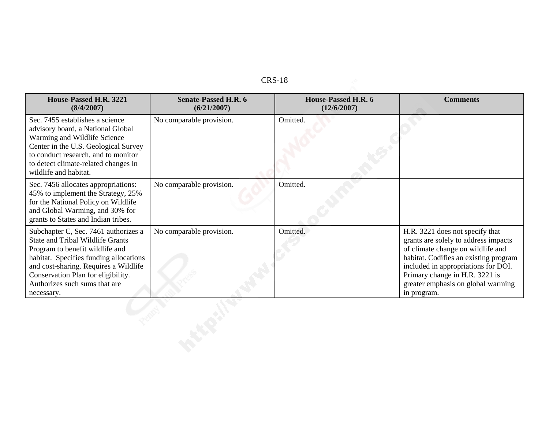| House-Passed H.R. 3221<br>(8/4/2007)                                                                                                                                                                                                                                                       | <b>Senate-Passed H.R. 6</b><br>(6/21/2007) | House-Passed H.R. 6<br>(12/6/2007) | <b>Comments</b>                                                                                                                                                                                                                                                                     |
|--------------------------------------------------------------------------------------------------------------------------------------------------------------------------------------------------------------------------------------------------------------------------------------------|--------------------------------------------|------------------------------------|-------------------------------------------------------------------------------------------------------------------------------------------------------------------------------------------------------------------------------------------------------------------------------------|
| Sec. 7455 establishes a science<br>advisory board, a National Global<br>Warming and Wildlife Science<br>Center in the U.S. Geological Survey<br>to conduct research, and to monitor<br>to detect climate-related changes in<br>wildlife and habitat.                                       | No comparable provision.                   | Omitted.                           |                                                                                                                                                                                                                                                                                     |
| Sec. 7456 allocates appropriations:<br>45% to implement the Strategy, 25%<br>for the National Policy on Wildlife<br>and Global Warming, and 30% for<br>grants to States and Indian tribes.                                                                                                 | No comparable provision.                   | Omitted.                           |                                                                                                                                                                                                                                                                                     |
| Subchapter C, Sec. 7461 authorizes a<br><b>State and Tribal Wildlife Grants</b><br>Program to benefit wildlife and<br>habitat. Specifies funding allocations<br>and cost-sharing. Requires a Wildlife<br>Conservation Plan for eligibility.<br>Authorizes such sums that are<br>necessary. | No comparable provision.                   | Omitted.                           | H.R. 3221 does not specify that<br>grants are solely to address impacts<br>of climate change on wildlife and<br>habitat. Codifies an existing program<br>included in appropriations for DOI.<br>Primary change in H.R. 3221 is<br>greater emphasis on global warming<br>in program. |
|                                                                                                                                                                                                                                                                                            |                                            |                                    |                                                                                                                                                                                                                                                                                     |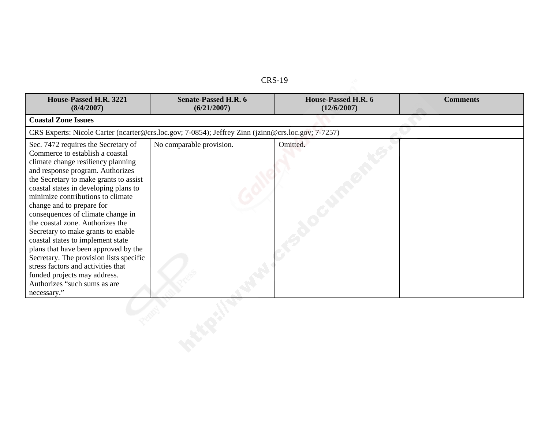| House-Passed H.R. 3221<br>(8/4/2007)                                                                                                                                                                                                                                                                                                                                                                                                                                                                                                                                                                                                                              | <b>Senate-Passed H.R. 6</b><br>(6/21/2007)                                                         | House-Passed H.R. 6<br>(12/6/2007) | <b>Comments</b> |
|-------------------------------------------------------------------------------------------------------------------------------------------------------------------------------------------------------------------------------------------------------------------------------------------------------------------------------------------------------------------------------------------------------------------------------------------------------------------------------------------------------------------------------------------------------------------------------------------------------------------------------------------------------------------|----------------------------------------------------------------------------------------------------|------------------------------------|-----------------|
| <b>Coastal Zone Issues</b>                                                                                                                                                                                                                                                                                                                                                                                                                                                                                                                                                                                                                                        |                                                                                                    |                                    |                 |
|                                                                                                                                                                                                                                                                                                                                                                                                                                                                                                                                                                                                                                                                   | CRS Experts: Nicole Carter (ncarter@crs.loc.gov; 7-0854); Jeffrey Zinn (jzinn@crs.loc.gov; 7-7257) |                                    |                 |
| Sec. 7472 requires the Secretary of<br>Commerce to establish a coastal<br>climate change resiliency planning<br>and response program. Authorizes<br>the Secretary to make grants to assist<br>coastal states in developing plans to<br>minimize contributions to climate<br>change and to prepare for<br>consequences of climate change in<br>the coastal zone. Authorizes the<br>Secretary to make grants to enable<br>coastal states to implement state<br>plans that have been approved by the<br>Secretary. The provision lists specific<br>stress factors and activities that<br>funded projects may address.<br>Authorizes "such sums as are<br>necessary." | No comparable provision.                                                                           | Omitted.                           |                 |
|                                                                                                                                                                                                                                                                                                                                                                                                                                                                                                                                                                                                                                                                   |                                                                                                    |                                    |                 |
|                                                                                                                                                                                                                                                                                                                                                                                                                                                                                                                                                                                                                                                                   |                                                                                                    |                                    |                 |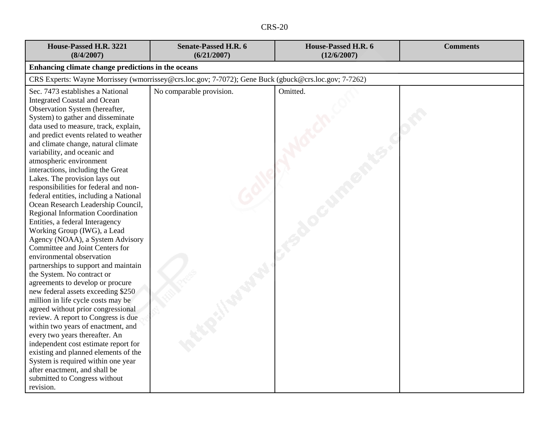| House-Passed H.R. 3221<br>(8/4/2007)                                                                                                                                                                                                                                                                                                                                                                                                                                                                                                                                                                                                                                                                                                                                                                                                                                                                                                                                                                                                                                                                                                                                                                                                                                                                | <b>Senate-Passed H.R. 6</b><br>(6/21/2007)                                                           | House-Passed H.R. 6<br>(12/6/2007) | <b>Comments</b> |
|-----------------------------------------------------------------------------------------------------------------------------------------------------------------------------------------------------------------------------------------------------------------------------------------------------------------------------------------------------------------------------------------------------------------------------------------------------------------------------------------------------------------------------------------------------------------------------------------------------------------------------------------------------------------------------------------------------------------------------------------------------------------------------------------------------------------------------------------------------------------------------------------------------------------------------------------------------------------------------------------------------------------------------------------------------------------------------------------------------------------------------------------------------------------------------------------------------------------------------------------------------------------------------------------------------|------------------------------------------------------------------------------------------------------|------------------------------------|-----------------|
| Enhancing climate change predictions in the oceans                                                                                                                                                                                                                                                                                                                                                                                                                                                                                                                                                                                                                                                                                                                                                                                                                                                                                                                                                                                                                                                                                                                                                                                                                                                  |                                                                                                      |                                    |                 |
|                                                                                                                                                                                                                                                                                                                                                                                                                                                                                                                                                                                                                                                                                                                                                                                                                                                                                                                                                                                                                                                                                                                                                                                                                                                                                                     | CRS Experts: Wayne Morrissey (wmorrissey@crs.loc.gov; 7-7072); Gene Buck (gbuck@crs.loc.gov; 7-7262) |                                    |                 |
| Sec. 7473 establishes a National<br><b>Integrated Coastal and Ocean</b><br>Observation System (hereafter,<br>System) to gather and disseminate<br>data used to measure, track, explain,<br>and predict events related to weather<br>and climate change, natural climate<br>variability, and oceanic and<br>atmospheric environment<br>interactions, including the Great<br>Lakes. The provision lays out<br>responsibilities for federal and non-<br>federal entities, including a National<br>Ocean Research Leadership Council,<br><b>Regional Information Coordination</b><br>Entities, a federal Interagency<br>Working Group (IWG), a Lead<br>Agency (NOAA), a System Advisory<br>Committee and Joint Centers for<br>environmental observation<br>partnerships to support and maintain<br>the System. No contract or<br>agreements to develop or procure<br>new federal assets exceeding \$250<br>million in life cycle costs may be<br>agreed without prior congressional<br>review. A report to Congress is due<br>within two years of enactment, and<br>every two years thereafter. An<br>independent cost estimate report for<br>existing and planned elements of the<br>System is required within one year<br>after enactment, and shall be<br>submitted to Congress without<br>revision. | No comparable provision.                                                                             | Omitted.                           |                 |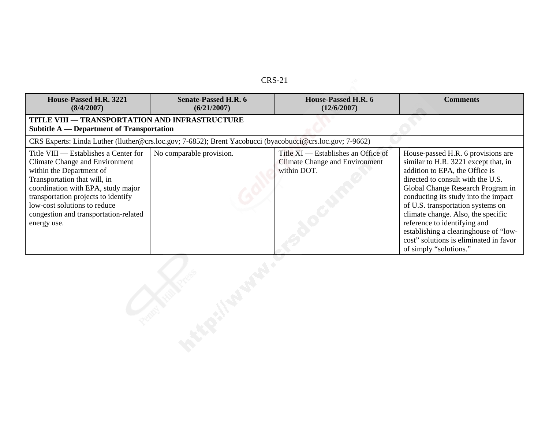| House-Passed H.R. 3221<br>(8/4/2007)                                                                                                                                                                                                                                                                            | <b>Senate-Passed H.R. 6</b><br>(6/21/2007)                                                                | House-Passed H.R. 6<br>(12/6/2007)                                                          | <b>Comments</b>                                                                                                                                                                                                                                                                                                                                                                                                                                        |  |
|-----------------------------------------------------------------------------------------------------------------------------------------------------------------------------------------------------------------------------------------------------------------------------------------------------------------|-----------------------------------------------------------------------------------------------------------|---------------------------------------------------------------------------------------------|--------------------------------------------------------------------------------------------------------------------------------------------------------------------------------------------------------------------------------------------------------------------------------------------------------------------------------------------------------------------------------------------------------------------------------------------------------|--|
| <b>TITLE VIII - TRANSPORTATION AND INFRASTRUCTURE</b><br><b>Subtitle A — Department of Transportation</b>                                                                                                                                                                                                       |                                                                                                           |                                                                                             |                                                                                                                                                                                                                                                                                                                                                                                                                                                        |  |
|                                                                                                                                                                                                                                                                                                                 | CRS Experts: Linda Luther (lluther@crs.loc.gov; 7-6852); Brent Yacobucci (byacobucci@crs.loc.gov; 7-9662) |                                                                                             |                                                                                                                                                                                                                                                                                                                                                                                                                                                        |  |
| Title VIII — Establishes a Center for<br><b>Climate Change and Environment</b><br>within the Department of<br>Transportation that will, in<br>coordination with EPA, study major<br>transportation projects to identify<br>low-cost solutions to reduce<br>congestion and transportation-related<br>energy use. | No comparable provision.                                                                                  | Title XI — Establishes an Office of<br><b>Climate Change and Environment</b><br>within DOT. | House-passed H.R. 6 provisions are<br>similar to H.R. 3221 except that, in<br>addition to EPA, the Office is<br>directed to consult with the U.S.<br>Global Change Research Program in<br>conducting its study into the impact<br>of U.S. transportation systems on<br>climate change. Also, the specific<br>reference to identifying and<br>establishing a clearinghouse of "low-<br>cost" solutions is eliminated in favor<br>of simply "solutions." |  |
|                                                                                                                                                                                                                                                                                                                 |                                                                                                           |                                                                                             |                                                                                                                                                                                                                                                                                                                                                                                                                                                        |  |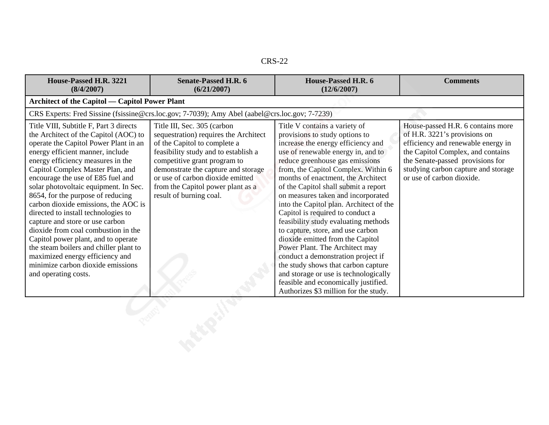| n.<br>c.<br>ı<br>$\sim$ |
|-------------------------|
|-------------------------|

| House-Passed H.R. 3221<br>(8/4/2007)                                                                                                                                                                                                                                                                                                                                                                                                                                                                                                                                                                                                                                                               | <b>Senate-Passed H.R. 6</b><br>(6/21/2007)                                                                                                                                                                                                                                                                              | House-Passed H.R. 6<br>(12/6/2007)                                                                                                                                                                                                                                                                                                                                                                                                                                                                                                                                                                                                                                                                                                                                                 | <b>Comments</b>                                                                                                                                                                                                                                      |
|----------------------------------------------------------------------------------------------------------------------------------------------------------------------------------------------------------------------------------------------------------------------------------------------------------------------------------------------------------------------------------------------------------------------------------------------------------------------------------------------------------------------------------------------------------------------------------------------------------------------------------------------------------------------------------------------------|-------------------------------------------------------------------------------------------------------------------------------------------------------------------------------------------------------------------------------------------------------------------------------------------------------------------------|------------------------------------------------------------------------------------------------------------------------------------------------------------------------------------------------------------------------------------------------------------------------------------------------------------------------------------------------------------------------------------------------------------------------------------------------------------------------------------------------------------------------------------------------------------------------------------------------------------------------------------------------------------------------------------------------------------------------------------------------------------------------------------|------------------------------------------------------------------------------------------------------------------------------------------------------------------------------------------------------------------------------------------------------|
| <b>Architect of the Capitol — Capitol Power Plant</b>                                                                                                                                                                                                                                                                                                                                                                                                                                                                                                                                                                                                                                              |                                                                                                                                                                                                                                                                                                                         |                                                                                                                                                                                                                                                                                                                                                                                                                                                                                                                                                                                                                                                                                                                                                                                    |                                                                                                                                                                                                                                                      |
|                                                                                                                                                                                                                                                                                                                                                                                                                                                                                                                                                                                                                                                                                                    | CRS Experts: Fred Sissine (fsissine@crs.loc.gov; 7-7039); Amy Abel (aabel@crs.loc.gov; 7-7239)                                                                                                                                                                                                                          |                                                                                                                                                                                                                                                                                                                                                                                                                                                                                                                                                                                                                                                                                                                                                                                    |                                                                                                                                                                                                                                                      |
| Title VIII, Subtitle F, Part 3 directs<br>the Architect of the Capitol (AOC) to<br>operate the Capitol Power Plant in an<br>energy efficient manner, include<br>energy efficiency measures in the<br>Capitol Complex Master Plan, and<br>encourage the use of E85 fuel and<br>solar photovoltaic equipment. In Sec.<br>8654, for the purpose of reducing<br>carbon dioxide emissions, the AOC is<br>directed to install technologies to<br>capture and store or use carbon<br>dioxide from coal combustion in the<br>Capitol power plant, and to operate<br>the steam boilers and chiller plant to<br>maximized energy efficiency and<br>minimize carbon dioxide emissions<br>and operating costs. | Title III, Sec. 305 (carbon<br>sequestration) requires the Architect<br>of the Capitol to complete a<br>feasibility study and to establish a<br>competitive grant program to<br>demonstrate the capture and storage<br>or use of carbon dioxide emitted<br>from the Capitol power plant as a<br>result of burning coal. | Title V contains a variety of<br>provisions to study options to<br>increase the energy efficiency and<br>use of renewable energy in, and to<br>reduce greenhouse gas emissions<br>from, the Capitol Complex. Within 6<br>months of enactment, the Architect<br>of the Capitol shall submit a report<br>on measures taken and incorporated<br>into the Capitol plan. Architect of the<br>Capitol is required to conduct a<br>feasibility study evaluating methods<br>to capture, store, and use carbon<br>dioxide emitted from the Capitol<br>Power Plant. The Architect may<br>conduct a demonstration project if<br>the study shows that carbon capture<br>and storage or use is technologically<br>feasible and economically justified.<br>Authorizes \$3 million for the study. | House-passed H.R. 6 contains more<br>of H.R. 3221's provisions on<br>efficiency and renewable energy in<br>the Capitol Complex, and contains<br>the Senate-passed provisions for<br>studying carbon capture and storage<br>or use of carbon dioxide. |
|                                                                                                                                                                                                                                                                                                                                                                                                                                                                                                                                                                                                                                                                                                    |                                                                                                                                                                                                                                                                                                                         |                                                                                                                                                                                                                                                                                                                                                                                                                                                                                                                                                                                                                                                                                                                                                                                    |                                                                                                                                                                                                                                                      |
|                                                                                                                                                                                                                                                                                                                                                                                                                                                                                                                                                                                                                                                                                                    |                                                                                                                                                                                                                                                                                                                         |                                                                                                                                                                                                                                                                                                                                                                                                                                                                                                                                                                                                                                                                                                                                                                                    |                                                                                                                                                                                                                                                      |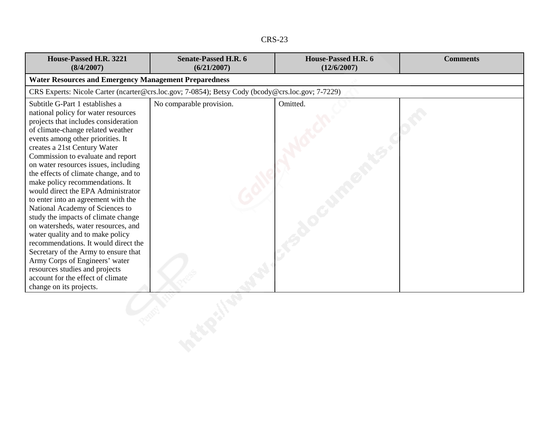| n.<br>х.<br>$\sim$ |
|--------------------|
|--------------------|

| House-Passed H.R. 3221<br>(8/4/2007)                                                                                                                                                                                                                                                                                                                                                                                                                                                                                                                                                                                                                                                                                                                                                                                                    | <b>Senate-Passed H.R. 6</b><br>(6/21/2007)                                                       | House-Passed H.R. 6<br>(12/6/2007) | <b>Comments</b> |
|-----------------------------------------------------------------------------------------------------------------------------------------------------------------------------------------------------------------------------------------------------------------------------------------------------------------------------------------------------------------------------------------------------------------------------------------------------------------------------------------------------------------------------------------------------------------------------------------------------------------------------------------------------------------------------------------------------------------------------------------------------------------------------------------------------------------------------------------|--------------------------------------------------------------------------------------------------|------------------------------------|-----------------|
| <b>Water Resources and Emergency Management Preparedness</b>                                                                                                                                                                                                                                                                                                                                                                                                                                                                                                                                                                                                                                                                                                                                                                            |                                                                                                  |                                    |                 |
|                                                                                                                                                                                                                                                                                                                                                                                                                                                                                                                                                                                                                                                                                                                                                                                                                                         | CRS Experts: Nicole Carter (ncarter@crs.loc.gov; 7-0854); Betsy Cody (bcody@crs.loc.gov; 7-7229) |                                    |                 |
| Subtitle G-Part 1 establishes a<br>national policy for water resources<br>projects that includes consideration<br>of climate-change related weather<br>events among other priorities. It<br>creates a 21st Century Water<br>Commission to evaluate and report<br>on water resources issues, including<br>the effects of climate change, and to<br>make policy recommendations. It<br>would direct the EPA Administrator<br>to enter into an agreement with the<br>National Academy of Sciences to<br>study the impacts of climate change<br>on watersheds, water resources, and<br>water quality and to make policy<br>recommendations. It would direct the<br>Secretary of the Army to ensure that<br>Army Corps of Engineers' water<br>resources studies and projects<br>account for the effect of climate<br>change on its projects. | No comparable provision.                                                                         | Omitted.                           |                 |
|                                                                                                                                                                                                                                                                                                                                                                                                                                                                                                                                                                                                                                                                                                                                                                                                                                         |                                                                                                  |                                    |                 |
|                                                                                                                                                                                                                                                                                                                                                                                                                                                                                                                                                                                                                                                                                                                                                                                                                                         |                                                                                                  |                                    |                 |